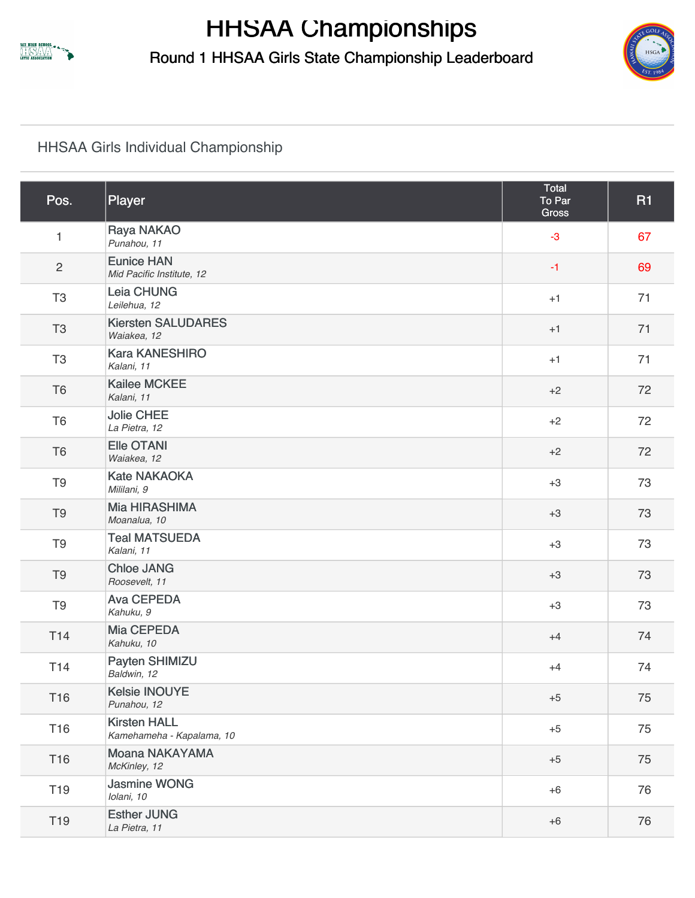

**HHSAA Championships** Round 1 HHSAA Girls State Championship Leaderboard



## [HHSAA Girls Individual Championship](https://static.golfgenius.com/v2tournaments/2555103?called_from=&round_index=1)

| Pos.            | Player                                           | Total<br>To Par<br><b>Gross</b> | <b>R1</b> |
|-----------------|--------------------------------------------------|---------------------------------|-----------|
| $\mathbf{1}$    | Raya NAKAO<br>Punahou, 11                        | $-3$                            | 67        |
| $\overline{c}$  | <b>Eunice HAN</b><br>Mid Pacific Institute, 12   | $-1$                            | 69        |
| T <sub>3</sub>  | Leia CHUNG<br>Leilehua, 12                       | $+1$                            | 71        |
| T <sub>3</sub>  | <b>Kiersten SALUDARES</b><br>Waiakea, 12         | $+1$                            | 71        |
| T <sub>3</sub>  | <b>Kara KANESHIRO</b><br>Kalani, 11              | $+1$                            | 71        |
| T <sub>6</sub>  | <b>Kailee MCKEE</b><br>Kalani, 11                | $+2$                            | 72        |
| T <sub>6</sub>  | <b>Jolie CHEE</b><br>La Pietra, 12               | $+2$                            | 72        |
| T <sub>6</sub>  | <b>Elle OTANI</b><br>Waiakea, 12                 | $+2$                            | 72        |
| T <sub>9</sub>  | <b>Kate NAKAOKA</b><br>Mililani, 9               | $+3$                            | 73        |
| T <sub>9</sub>  | <b>Mia HIRASHIMA</b><br>Moanalua, 10             | $+3$                            | 73        |
| T <sub>9</sub>  | <b>Teal MATSUEDA</b><br>Kalani, 11               | $+3$                            | 73        |
| T <sub>9</sub>  | <b>Chloe JANG</b><br>Roosevelt, 11               | $+3$                            | 73        |
| T <sub>9</sub>  | <b>Ava CEPEDA</b><br>Kahuku, 9                   | $+3$                            | 73        |
| T <sub>14</sub> | Mia CEPEDA<br>Kahuku, 10                         | $+4$                            | 74        |
| T <sub>14</sub> | Payten SHIMIZU<br>Baldwin, 12                    | $+4$                            | 74        |
| T16             | <b>Kelsie INOUYE</b><br>Punahou, 12              | $+5$                            | 75        |
| T16             | <b>Kirsten HALL</b><br>Kamehameha - Kapalama, 10 | $+5$                            | 75        |
| T16             | Moana NAKAYAMA<br>McKinley, 12                   | $+5$                            | 75        |
| T <sub>19</sub> | <b>Jasmine WONG</b><br>Iolani, 10                | $+6$                            | 76        |
| T <sub>19</sub> | <b>Esther JUNG</b><br>La Pietra, 11              | $+6$                            | 76        |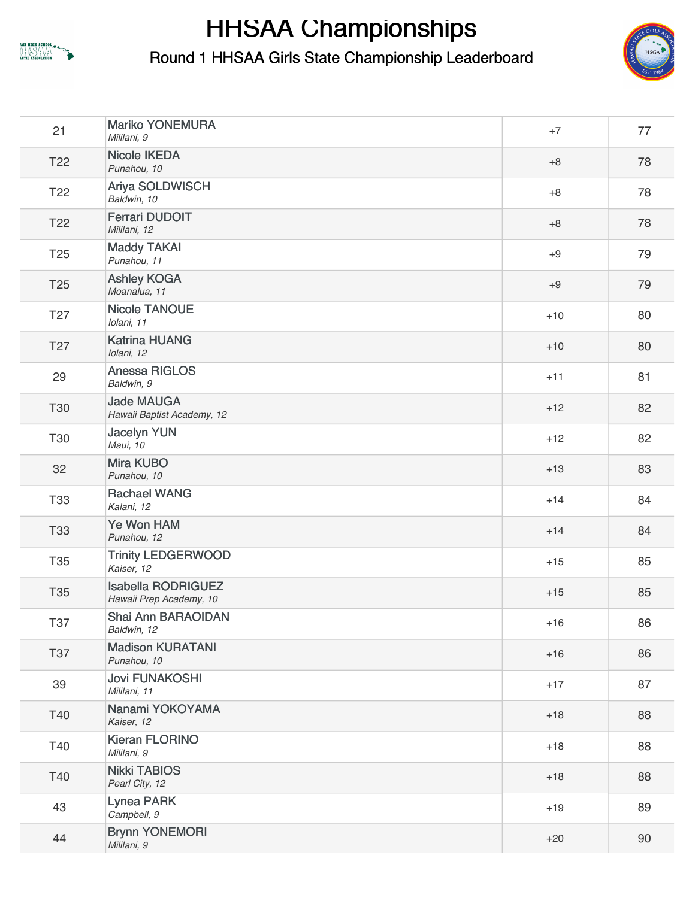

## **HHSAA Championships**

Round 1 HHSAA Girls State Championship Leaderboard



| 21              | <b>Mariko YONEMURA</b><br>Mililani, 9                | $+7$  | 77 |
|-----------------|------------------------------------------------------|-------|----|
| T <sub>22</sub> | <b>Nicole IKEDA</b><br>Punahou, 10                   | $+8$  | 78 |
| T <sub>22</sub> | Ariya SOLDWISCH<br>Baldwin, 10                       | $+8$  | 78 |
| T <sub>22</sub> | <b>Ferrari DUDOIT</b><br>Mililani, 12                | $+8$  | 78 |
| T <sub>25</sub> | <b>Maddy TAKAI</b><br>Punahou, 11                    | $+9$  | 79 |
| T <sub>25</sub> | <b>Ashley KOGA</b><br>Moanalua, 11                   | $+9$  | 79 |
| T <sub>27</sub> | <b>Nicole TANOUE</b><br>Iolani, 11                   | $+10$ | 80 |
| T <sub>27</sub> | <b>Katrina HUANG</b><br>Iolani, 12                   | $+10$ | 80 |
| 29              | Anessa RIGLOS<br>Baldwin, 9                          | $+11$ | 81 |
| T30             | <b>Jade MAUGA</b><br>Hawaii Baptist Academy, 12      | $+12$ | 82 |
| T30             | <b>Jacelyn YUN</b><br>Maui, 10                       | $+12$ | 82 |
| 32              | <b>Mira KUBO</b><br>Punahou, 10                      | $+13$ | 83 |
| T33             | <b>Rachael WANG</b><br>Kalani, 12                    | $+14$ | 84 |
| <b>T33</b>      | Ye Won HAM<br>Punahou, 12                            | $+14$ | 84 |
| T35             | <b>Trinity LEDGERWOOD</b><br>Kaiser, 12              | $+15$ | 85 |
| T35             | <b>Isabella RODRIGUEZ</b><br>Hawaii Prep Academy, 10 | $+15$ | 85 |
| <b>T37</b>      | Shai Ann BARAOIDAN<br>Baldwin, 12                    | $+16$ | 86 |
| <b>T37</b>      | <b>Madison KURATANI</b><br>Punahou, 10               | $+16$ | 86 |
| 39              | <b>Jovi FUNAKOSHI</b><br>Mililani, 11                | $+17$ | 87 |
| T40             | Nanami YOKOYAMA<br>Kaiser, 12                        | $+18$ | 88 |
| T40             | <b>Kieran FLORINO</b><br>Mililani, 9                 | $+18$ | 88 |
| T40             | <b>Nikki TABIOS</b><br>Pearl City, 12                | $+18$ | 88 |
| 43              | <b>Lynea PARK</b><br>Campbell, 9                     | $+19$ | 89 |
| 44              | <b>Brynn YONEMORI</b><br>Mililani, 9                 | $+20$ | 90 |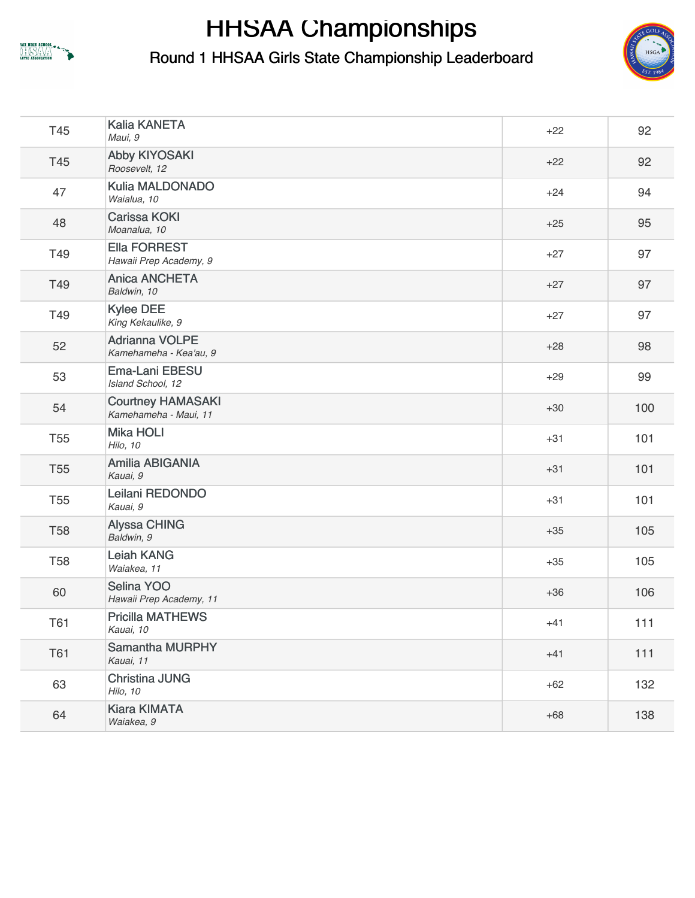

## **HHSAA Championships**

Round 1 HHSAA Girls State Championship Leaderboard



| T45             | <b>Kalia KANETA</b><br>Maui, 9                    | $+22$ | 92    |
|-----------------|---------------------------------------------------|-------|-------|
| T45             | <b>Abby KIYOSAKI</b><br>Roosevelt, 12             | $+22$ | 92    |
| 47              | Kulia MALDONADO<br>Waialua, 10                    | $+24$ | 94    |
| 48              | <b>Carissa KOKI</b><br>Moanalua, 10               | $+25$ | 95    |
| T49             | <b>Ella FORREST</b><br>Hawaii Prep Academy, 9     | $+27$ | 97    |
| T49             | <b>Anica ANCHETA</b><br>Baldwin, 10               | $+27$ | 97    |
| T49             | <b>Kylee DEE</b><br>King Kekaulike, 9             | $+27$ | 97    |
| 52              | <b>Adrianna VOLPE</b><br>Kamehameha - Kea'au, 9   | $+28$ | 98    |
| 53              | <b>Ema-Lani EBESU</b><br>Island School, 12        | $+29$ | 99    |
| 54              | <b>Courtney HAMASAKI</b><br>Kamehameha - Maui, 11 | $+30$ | 100   |
| <b>T55</b>      | <b>Mika HOLI</b><br>Hilo, 10                      | $+31$ | 101   |
| <b>T55</b>      | Amilia ABIGANIA<br>Kauai, 9                       | $+31$ | 101   |
| T <sub>55</sub> | Leilani REDONDO<br>Kauai, 9                       | $+31$ | 101   |
| <b>T58</b>      | <b>Alyssa CHING</b><br>Baldwin, 9                 | $+35$ | 105   |
| <b>T58</b>      | <b>Leiah KANG</b><br>Waiakea, 11                  | $+35$ | 105   |
| 60              | Selina YOO<br>Hawaii Prep Academy, 11             | $+36$ | 106   |
| T61             | <b>Pricilla MATHEWS</b><br>Kauai, 10              | $+41$ | 111   |
| <b>T61</b>      | <b>Samantha MURPHY</b><br>Kauai, 11               | $+41$ | $111$ |
| 63              | <b>Christina JUNG</b><br>Hilo, 10                 | $+62$ | 132   |
| 64              | <b>Kiara KIMATA</b><br>Waiakea, 9                 | $+68$ | 138   |